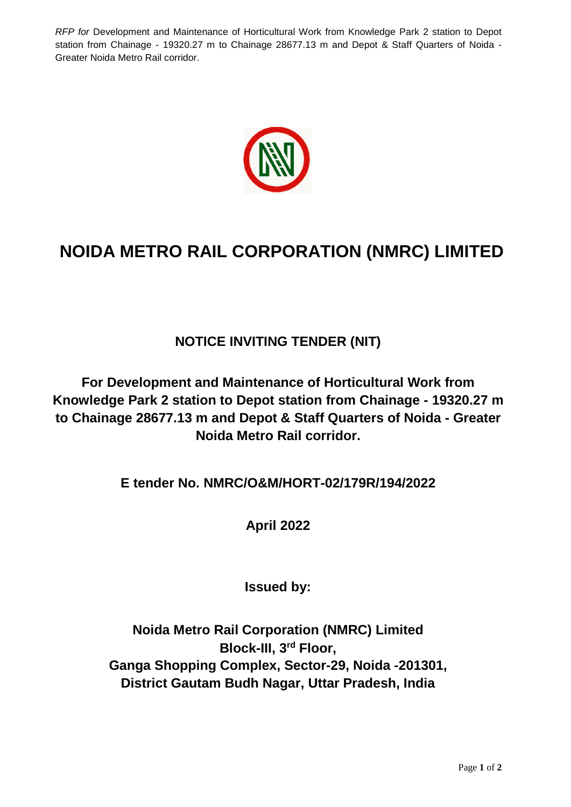*RFP for* Development and Maintenance of Horticultural Work from Knowledge Park 2 station to Depot station from Chainage - 19320.27 m to Chainage 28677.13 m and Depot & Staff Quarters of Noida - Greater Noida Metro Rail corridor.



## **NOIDA METRO RAIL CORPORATION (NMRC) LIMITED**

## **NOTICE INVITING TENDER (NIT)**

**For Development and Maintenance of Horticultural Work from Knowledge Park 2 station to Depot station from Chainage - 19320.27 m to Chainage 28677.13 m and Depot & Staff Quarters of Noida - Greater Noida Metro Rail corridor.**

**E tender No. NMRC/O&M/HORT-02/179R/194/2022**

**April 2022**

**Issued by:**

**Noida Metro Rail Corporation (NMRC) Limited Block-III, 3rd Floor, Ganga Shopping Complex, Sector-29, Noida -201301, District Gautam Budh Nagar, Uttar Pradesh, India**